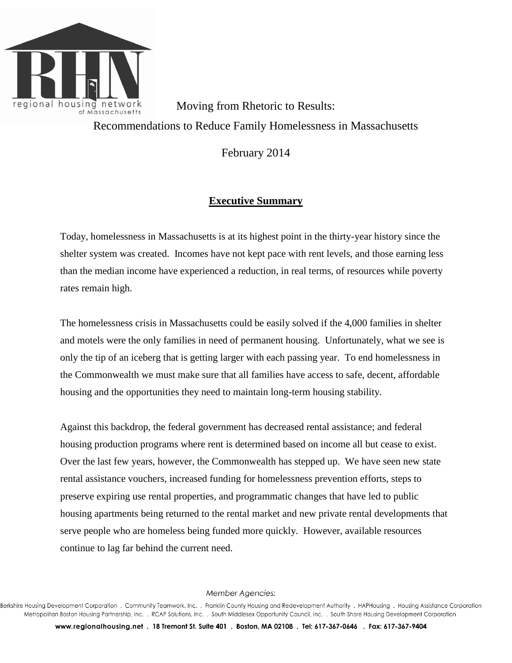

Moving from Rhetoric to Results: Recommendations to Reduce Family Homelessness in Massachusetts

February 2014

## **Executive Summary**

Today, homelessness in Massachusetts is at its highest point in the thirty-year history since the shelter system was created. Incomes have not kept pace with rent levels, and those earning less than the median income have experienced a reduction, in real terms, of resources while poverty rates remain high.

The homelessness crisis in Massachusetts could be easily solved if the 4,000 families in shelter and motels were the only families in need of permanent housing. Unfortunately, what we see is only the tip of an iceberg that is getting larger with each passing year. To end homelessness in the Commonwealth we must make sure that all families have access to safe, decent, affordable housing and the opportunities they need to maintain long-term housing stability.

Against this backdrop, the federal government has decreased rental assistance; and federal housing production programs where rent is determined based on income all but cease to exist. Over the last few years, however, the Commonwealth has stepped up. We have seen new state rental assistance vouchers, increased funding for homelessness prevention efforts, steps to preserve expiring use rental properties, and programmatic changes that have led to public housing apartments being returned to the rental market and new private rental developments that serve people who are homeless being funded more quickly. However, available resources continue to lag far behind the current need.

Member Agencies:

Berkshire Housing Development Corporation, Community Teamwork, Inc., Franklin County Housing and Redevelopment Authority, HAPHousing, Housing Assistance Corporation Metropolitan Boston Housing Partnership, Inc. . RCAP Solutions, Inc. . South Middlesex Opportunity Council, Inc. . South Shore Housing Development Corporation